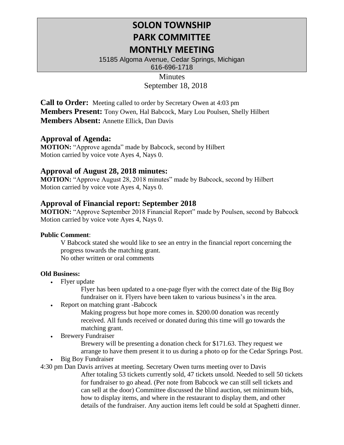# **SOLON TOWNSHIP PARK COMMITTEE MONTHLY MEETING**

15185 Algoma Avenue, Cedar Springs, Michigan 616-696-1718

# **Minutes** September 18, 2018

**Call to Order:** Meeting called to order by Secretary Owen at 4:03 pm **Members Present:** Tony Owen, Hal Babcock, Mary Lou Poulsen, Shelly Hilbert **Members Absent:** Annette Ellick, Dan Davis

## **Approval of Agenda:**

**MOTION:** "Approve agenda" made by Babcock, second by Hilbert Motion carried by voice vote Ayes 4, Nays 0.

## **Approval of August 28, 2018 minutes:**

**MOTION:** "Approve August 28, 2018 minutes" made by Babcock, second by Hilbert Motion carried by voice vote Ayes 4, Nays 0.

# **Approval of Financial report: September 2018**

**MOTION:** "Approve September 2018 Financial Report" made by Poulsen, second by Babcock Motion carried by voice vote Ayes 4, Nays 0.

### **Public Comment**:

V Babcock stated she would like to see an entry in the financial report concerning the progress towards the matching grant. No other written or oral comments

#### **Old Business:**

• Flyer update

Flyer has been updated to a one-page flyer with the correct date of the Big Boy fundraiser on it. Flyers have been taken to various business's in the area.

• Report on matching grant -Babcock

Making progress but hope more comes in. \$200.00 donation was recently received. All funds received or donated during this time will go towards the matching grant.

**Brewery Fundraiser** 

Brewery will be presenting a donation check for \$171.63. They request we arrange to have them present it to us during a photo op for the Cedar Springs Post.

**Big Boy Fundraiser** 

4:30 pm Dan Davis arrives at meeting. Secretary Owen turns meeting over to Davis

After totaling 53 tickets currently sold, 47 tickets unsold. Needed to sell 50 tickets for fundraiser to go ahead. (Per note from Babcock we can still sell tickets and can sell at the door) Committee discussed the blind auction, set minimum bids, how to display items, and where in the restaurant to display them, and other details of the fundraiser. Any auction items left could be sold at Spaghetti dinner.